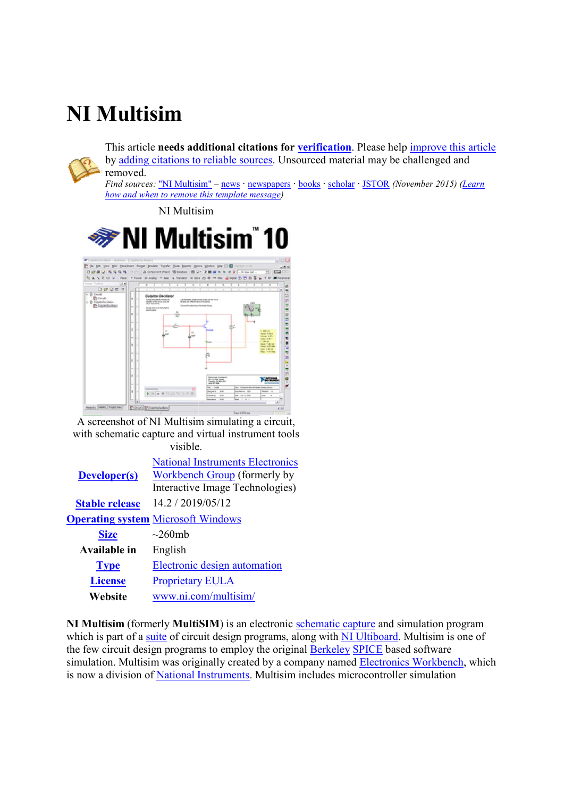## **NI Multisim**

This article **needs additional citations for <u>verification</u>**. Please help **improve this article** by adding citations to reliable sources</u>. Unsourced material may be challenged and removed.

*Find sources:* "NI Multisim" – news **·** newspapers **·** books **·** scholar **·** JSTOR *(November 2015 November 2015) (Learn how and when to remove this template message)*

NI Multisim Multisim



A screenshot of NI Multisim simulating a circuit, with schematic capture and virtual instrument tools visible.

| <b>Developer(s)</b>   | <b>National Instruments Electronics</b><br>Workbench Group (formerly by<br>Interactive Image Technologies) |
|-----------------------|------------------------------------------------------------------------------------------------------------|
| <b>Stable release</b> | 14.2 / 2019/05/12                                                                                          |
|                       | <b>Operating system Microsoft Windows</b>                                                                  |
| <b>Size</b>           | $\sim$ 260mh                                                                                               |
| Available in          | English                                                                                                    |
| <b>Type</b>           | Electronic design automation                                                                               |
| <b>License</b>        | <b>Proprietary EULA</b>                                                                                    |
| Website               | www.ni.com/multisim/                                                                                       |

**NI Multisim** (formerly **MultiSIM** ) is an electronic schematic capture and simulation program which is part of a **suite** of circuit design programs, along with **NI Ultiboard**. Multisim is one of the few circuit design programs to employ the original **Berkeley SPICE** based software simulation. Multisim was originally created by a company named **Electronics Workbench**, which is now a division of **National Instruments**. Multisim includes microcontroller simulation